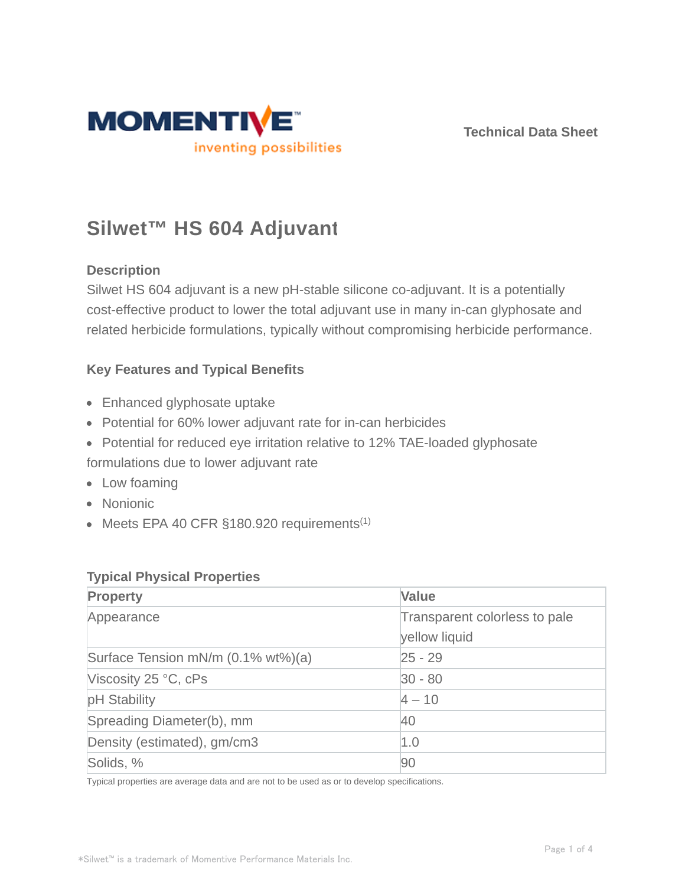

**Technical Data Sheet**

# **Silwet™ HS 604 Adjuvant**

### **Description**

Silwet HS 604 adjuvant is a new pH-stable silicone co-adjuvant. It is a potentially cost-effective product to lower the total adjuvant use in many in-can glyphosate and related herbicide formulations, typically without compromising herbicide performance.

#### **Key Features and Typical Benefits**

- Enhanced glyphosate uptake
- Potential for 60% lower adjuvant rate for in-can herbicides
- Potential for reduced eye irritation relative to 12% TAE-loaded glyphosate

formulations due to lower adjuvant rate

- Low foaming
- Nonionic
- $\bullet$  Meets EPA 40 CFR §180.920 requirements<sup>(1)</sup>

#### **Typical Physical Properties**

| Property                           | <b>Value</b>                  |  |
|------------------------------------|-------------------------------|--|
| Appearance                         | Transparent colorless to pale |  |
|                                    | yellow liquid                 |  |
| Surface Tension mN/m (0.1% wt%)(a) | $25 - 29$                     |  |
| Viscosity 25 °C, cPs               | $ 30 - 80 $                   |  |
| pH Stability                       | $4 - 10$                      |  |
| Spreading Diameter(b), mm          | 40                            |  |
| Density (estimated), gm/cm3        | 1.0                           |  |
| Solids, %                          | 90                            |  |

Typical properties are average data and are not to be used as or to develop specifications.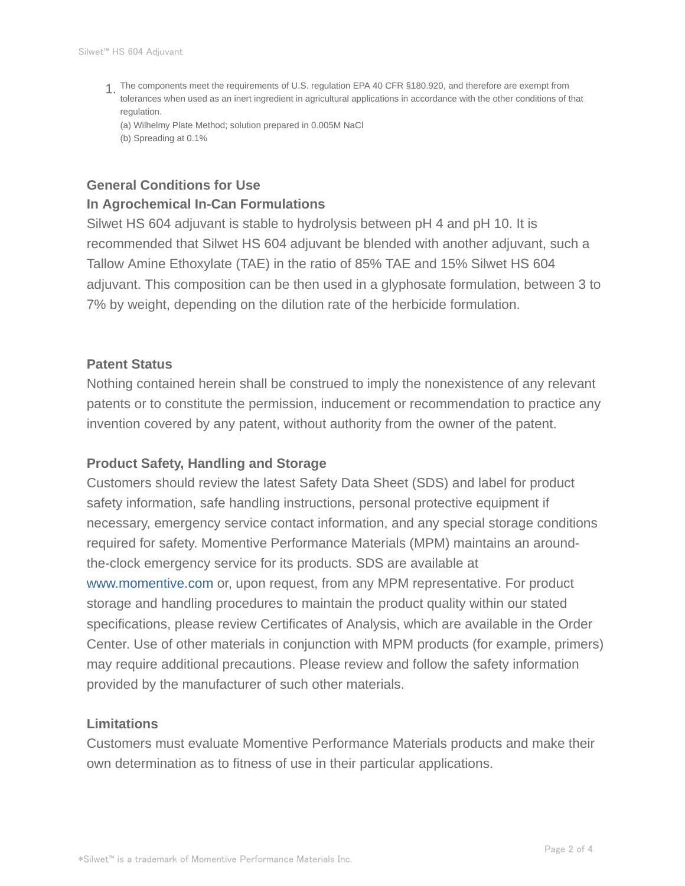The components meet the requirements of U.S. regulation EPA 40 CFR §180.920, and therefore are exempt from 1. tolerances when used as an inert ingredient in agricultural applications in accordance with the other conditions of that regulation.

(a) Wilhelmy Plate Method; solution prepared in 0.005M NaCl (b) Spreading at 0.1%

### **General Conditions for Use In Agrochemical In-Can Formulations**

Silwet HS 604 adjuvant is stable to hydrolysis between pH 4 and pH 10. It is recommended that Silwet HS 604 adjuvant be blended with another adjuvant, such a Tallow Amine Ethoxylate (TAE) in the ratio of 85% TAE and 15% Silwet HS 604 adjuvant. This composition can be then used in a glyphosate formulation, between 3 to 7% by weight, depending on the dilution rate of the herbicide formulation.

#### **Patent Status**

Nothing contained herein shall be construed to imply the nonexistence of any relevant patents or to constitute the permission, inducement or recommendation to practice any invention covered by any patent, without authority from the owner of the patent.

#### **Product Safety, Handling and Storage**

Customers should review the latest Safety Data Sheet (SDS) and label for product safety information, safe handling instructions, personal protective equipment if necessary, emergency service contact information, and any special storage conditions required for safety. Momentive Performance Materials (MPM) maintains an aroundthe-clock emergency service for its products. SDS are available at www.momentive.com or, upon request, from any MPM representative. For product storage and handling procedures to maintain the product quality within our stated specifications, please review Certificates of Analysis, which are available in the Order Center. Use of other materials in conjunction with MPM products (for example, primers) may require additional precautions. Please review and follow the safety information provided by the manufacturer of such other materials.

#### **Limitations**

Customers must evaluate Momentive Performance Materials products and make their own determination as to fitness of use in their particular applications.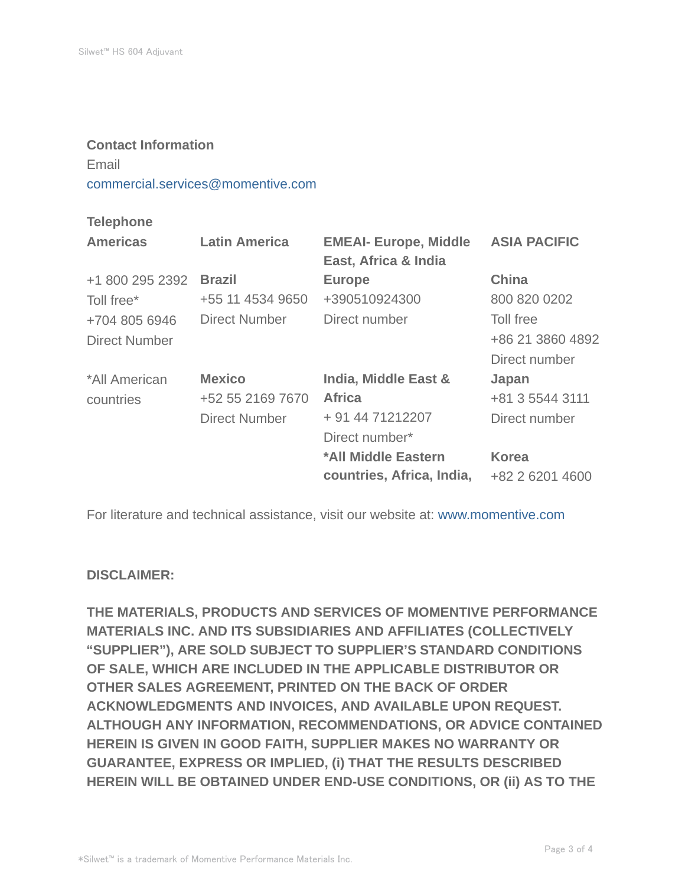#### **Contact Information**

## Email

commercial.services@momentive.com

#### **Telephone**

| <b>Americas</b> | <b>Latin America</b> | <b>EMEAI- Europe, Middle</b><br>East, Africa & India | <b>ASIA PACIFIC</b> |
|-----------------|----------------------|------------------------------------------------------|---------------------|
| +1 800 295 2392 | <b>Brazil</b>        | <b>Europe</b>                                        | <b>China</b>        |
| Toll free*      | +55 11 4534 9650     | +390510924300                                        | 800 820 0202        |
| +704 805 6946   | Direct Number        | Direct number                                        | Toll free           |
| Direct Number   |                      |                                                      | +86 21 3860 4892    |
|                 |                      |                                                      | Direct number       |
| *All American   | <b>Mexico</b>        | India, Middle East &                                 | Japan               |
| countries       | +52 55 2169 7670     | <b>Africa</b>                                        | +81 3 5544 3111     |
|                 | <b>Direct Number</b> | + 91 44 71212207                                     | Direct number       |
|                 |                      | Direct number*                                       |                     |
|                 |                      | *All Middle Eastern                                  | <b>Korea</b>        |
|                 |                      | countries, Africa, India,                            | +82 2 6201 4600     |

For literature and technical assistance, visit our website at: www.momentive.com

#### **DISCLAIMER:**

**THE MATERIALS, PRODUCTS AND SERVICES OF MOMENTIVE PERFORMANCE MATERIALS INC. AND ITS SUBSIDIARIES AND AFFILIATES (COLLECTIVELY "SUPPLIER"), ARE SOLD SUBJECT TO SUPPLIER'S STANDARD CONDITIONS OF SALE, WHICH ARE INCLUDED IN THE APPLICABLE DISTRIBUTOR OR OTHER SALES AGREEMENT, PRINTED ON THE BACK OF ORDER ACKNOWLEDGMENTS AND INVOICES, AND AVAILABLE UPON REQUEST. ALTHOUGH ANY INFORMATION, RECOMMENDATIONS, OR ADVICE CONTAINED HEREIN IS GIVEN IN GOOD FAITH, SUPPLIER MAKES NO WARRANTY OR GUARANTEE, EXPRESS OR IMPLIED, (i) THAT THE RESULTS DESCRIBED HEREIN WILL BE OBTAINED UNDER END-USE CONDITIONS, OR (ii) AS TO THE**